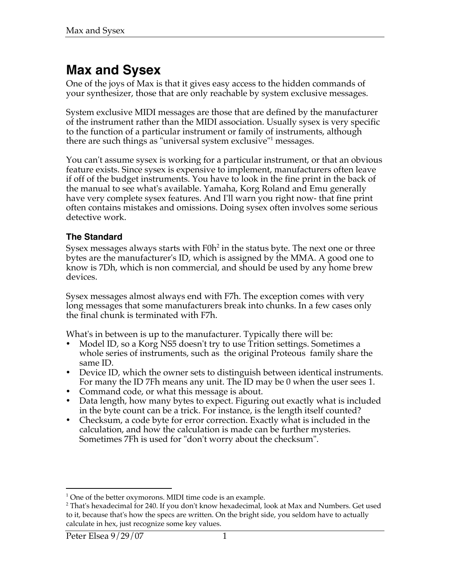# **Max and Sysex**

One of the joys of Max is that it gives easy access to the hidden commands of your synthesizer, those that are only reachable by system exclusive messages.

System exclusive MIDI messages are those that are defined by the manufacturer of the instrument rather than the MIDI association. Usually sysex is very specific to the function of a particular instrument or family of instruments, although there are such things as "universal system exclusive"<sup>1</sup> messages.

You can't assume sysex is working for a particular instrument, or that an obvious feature exists. Since sysex is expensive to implement, manufacturers often leave if off of the budget instruments. You have to look in the fine print in the back of the manual to see what's available. Yamaha, Korg Roland and Emu generally have very complete sysex features. And I'll warn you right now- that fine print often contains mistakes and omissions. Doing sysex often involves some serious detective work.

#### **The Standard**

Sysex messages always starts with F0h $^2$  in the status byte. The next one or three bytes are the manufacturer's ID, which is assigned by the MMA. A good one to know is 7Dh, which is non commercial, and should be used by any home brew devices.

Sysex messages almost always end with F7h. The exception comes with very long messages that some manufacturers break into chunks. In a few cases only the final chunk is terminated with F7h.

What's in between is up to the manufacturer. Typically there will be:

- Model ID, so a Korg NS5 doesn't try to use Trition settings. Sometimes a whole series of instruments, such as the original Proteous family share the same ID.
- Device ID, which the owner sets to distinguish between identical instruments. For many the ID 7Fh means any unit. The ID may be 0 when the user sees 1.
- Command code, or what this message is about.
- Data length, how many bytes to expect. Figuring out exactly what is included in the byte count can be a trick. For instance, is the length itself counted?
- Checksum, a code byte for error correction. Exactly what is included in the calculation, and how the calculation is made can be further mysteries. Sometimes 7Fh is used for "don't worry about the checksum".

l  $1$  One of the better oxymorons. MIDI time code is an example.

 $^2$  That's hexadecimal for 240. If you don't know hexadecimal, look at Max and Numbers. Get used to it, because that's how the specs are written. On the bright side, you seldom have to actually calculate in hex, just recognize some key values.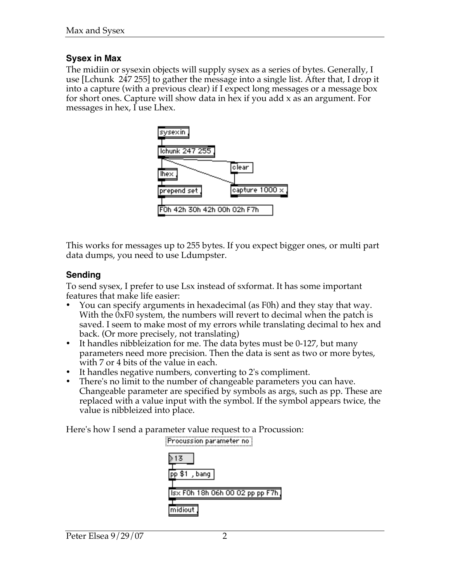## **Sysex in Max**

The midiin or sysexin objects will supply sysex as a series of bytes. Generally, I use [Lchunk 247 255] to gather the message into a single list. After that, I drop it into a capture (with a previous clear) if I expect long messages or a message box for short ones. Capture will show data in hex if you add x as an argument. For messages in hex, I use Lhex.



This works for messages up to 255 bytes. If you expect bigger ones, or multi part data dumps, you need to use Ldumpster.

## **Sending**

To send sysex, I prefer to use Lsx instead of sxformat. It has some important features that make life easier:

- You can specify arguments in hexadecimal (as F0h) and they stay that way. With the 0xF0 system, the numbers will revert to decimal when the patch is saved. I seem to make most of my errors while translating decimal to hex and back. (Or more precisely, not translating)
- It handles nibbleization for me. The data bytes must be 0-127, but many parameters need more precision. Then the data is sent as two or more bytes, with 7 or 4 bits of the value in each.
- It handles negative numbers, converting to 2's compliment.
- There's no limit to the number of changeable parameters you can have. Changeable parameter are specified by symbols as args, such as pp. These are replaced with a value input with the symbol. If the symbol appears twice, the value is nibbleized into place.

Here's how I send a parameter value request to a Procussion:

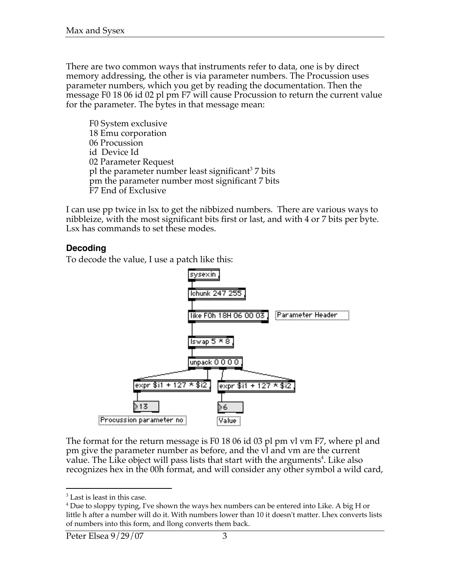There are two common ways that instruments refer to data, one is by direct memory addressing, the other is via parameter numbers. The Procussion uses parameter numbers, which you get by reading the documentation. Then the message F0 18 06 id 02 pl pm F7 will cause Procussion to return the current value for the parameter. The bytes in that message mean:

F0 System exclusive 18 Emu corporation 06 Procussion id Device Id 02 Parameter Request pl the parameter number least significant<sup>3</sup> 7 bits pm the parameter number most significant 7 bits F7 End of Exclusive

I can use pp twice in lsx to get the nibbized numbers. There are various ways to nibbleize, with the most significant bits first or last, and with 4 or 7 bits per byte. Lsx has commands to set these modes.

#### **Decoding**

To decode the value, I use a patch like this:



The format for the return message is F0 18 06 id 03 pl pm vl vm F7, where pl and pm give the parameter number as before, and the vl and vm are the current value. The Li $k$ e object will pass lists that start with the arguments $^4$ . Like also recognizes hex in the 00h format, and will consider any other symbol a wild card,

l 3 Last is least in this case.

 $^4$  Due to sloppy typing, I've shown the ways hex numbers can be entered into Like. A big H or little h after a number will do it. With numbers lower than 10 it doesn't matter. Lhex converts lists of numbers into this form, and llong converts them back.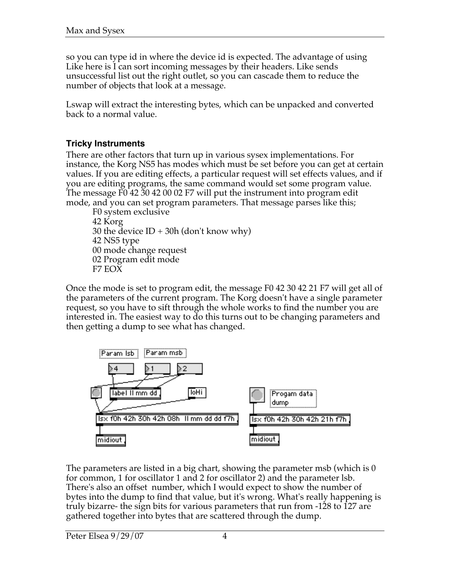so you can type id in where the device id is expected. The advantage of using Like here is I can sort incoming messages by their headers. Like sends unsuccessful list out the right outlet, so you can cascade them to reduce the number of objects that look at a message.

Lswap will extract the interesting bytes, which can be unpacked and converted back to a normal value.

## **Tricky Instruments**

There are other factors that turn up in various sysex implementations. For instance, the Korg NS5 has modes which must be set before you can get at certain values. If you are editing effects, a particular request will set effects values, and if you are editing programs, the same command would set some program value. The message F0 42 30 42 00 02 F7 will put the instrument into program edit mode, and you can set program parameters. That message parses like this;

F0 system exclusive 42 Korg 30 the device  $ID + 30h$  (don't know why) 42 NS5 type 00 mode change request 02 Program edit mode F7 EOX

Once the mode is set to program edit, the message F0 42 30 42 21 F7 will get all of the parameters of the current program. The Korg doesn't have a single parameter request, so you have to sift through the whole works to find the number you are interested in. The easiest way to do this turns out to be changing parameters and then getting a dump to see what has changed.



The parameters are listed in a big chart, showing the parameter msb (which is 0 for common, 1 for oscillator 1 and 2 for oscillator 2) and the parameter lsb. There's also an offset number, which I would expect to show the number of bytes into the dump to find that value, but it's wrong. What's really happening is truly bizarre- the sign bits for various parameters that run from -128 to 127 are gathered together into bytes that are scattered through the dump.